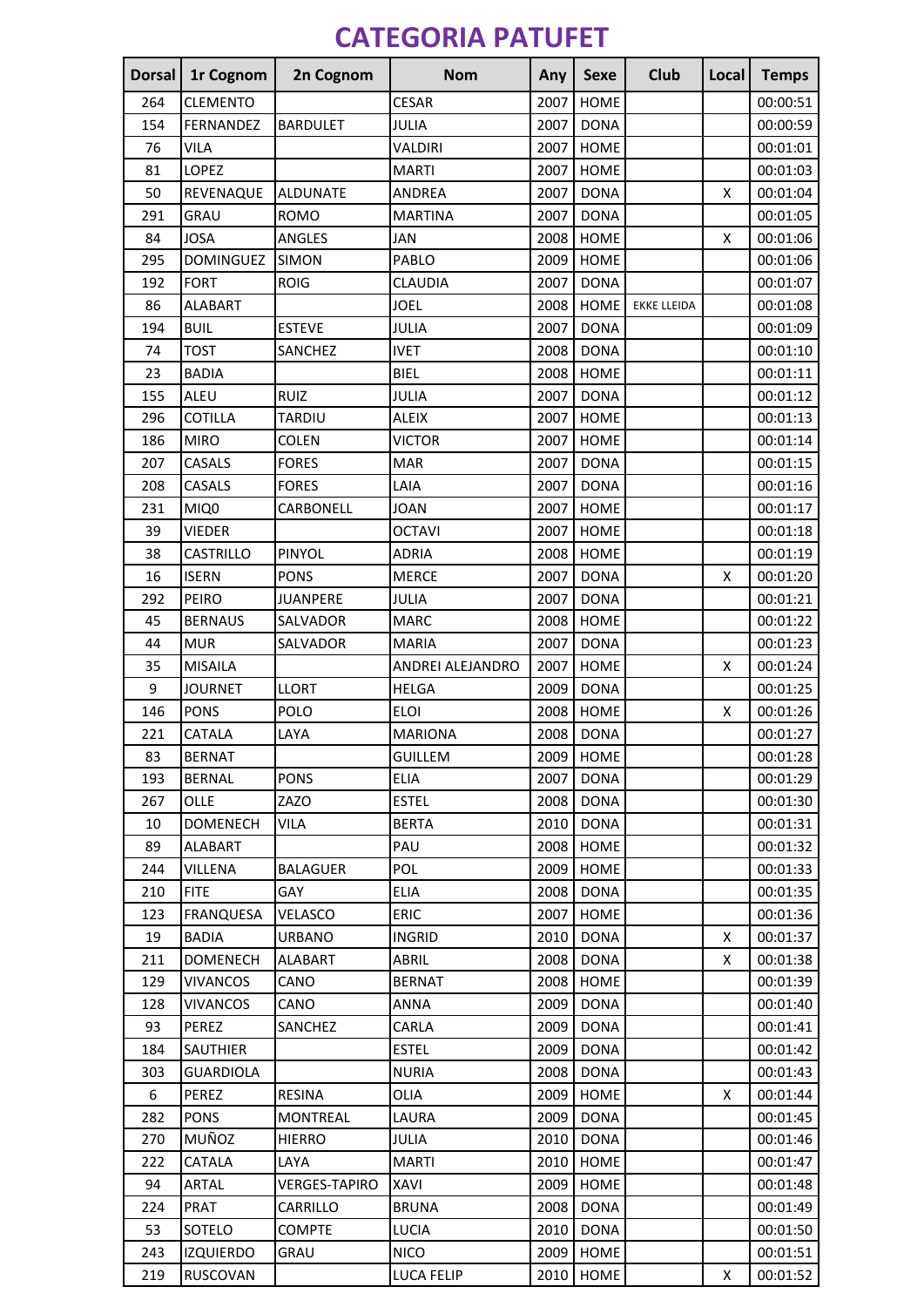## **CATEGORIA PATUFET**

| <b>Dorsal</b> | 1r Cognom        | 2n Cognom            | <b>Nom</b>       | Any  | <b>Sexe</b> | Club               | Local | <b>Temps</b> |
|---------------|------------------|----------------------|------------------|------|-------------|--------------------|-------|--------------|
| 264           | <b>CLEMENTO</b>  |                      | <b>CESAR</b>     | 2007 | <b>HOME</b> |                    |       | 00:00:51     |
| 154           | FERNANDEZ        | <b>BARDULET</b>      | JULIA            | 2007 | <b>DONA</b> |                    |       | 00:00:59     |
| 76            | <b>VILA</b>      |                      | VALDIRI          | 2007 | <b>HOME</b> |                    |       | 00:01:01     |
| 81            | LOPEZ            |                      | <b>MARTI</b>     | 2007 | <b>HOME</b> |                    |       | 00:01:03     |
| 50            | REVENAQUE        | <b>ALDUNATE</b>      | <b>ANDREA</b>    | 2007 | <b>DONA</b> |                    | X     | 00:01:04     |
| 291           | GRAU             | <b>ROMO</b>          | <b>MARTINA</b>   | 2007 | <b>DONA</b> |                    |       | 00:01:05     |
| 84            | <b>JOSA</b>      | <b>ANGLES</b>        | JAN              | 2008 | <b>HOME</b> |                    | X     | 00:01:06     |
| 295           | <b>DOMINGUEZ</b> | SIMON                | PABLO            | 2009 | <b>HOME</b> |                    |       | 00:01:06     |
| 192           | <b>FORT</b>      | <b>ROIG</b>          | <b>CLAUDIA</b>   | 2007 | <b>DONA</b> |                    |       | 00:01:07     |
| 86            | <b>ALABART</b>   |                      | <b>JOEL</b>      | 2008 | <b>HOME</b> | <b>EKKE LLEIDA</b> |       | 00:01:08     |
| 194           | <b>BUIL</b>      | <b>ESTEVE</b>        | JULIA            | 2007 | <b>DONA</b> |                    |       | 00:01:09     |
| 74            | <b>TOST</b>      | SANCHEZ              | <b>IVET</b>      | 2008 | <b>DONA</b> |                    |       | 00:01:10     |
| 23            | <b>BADIA</b>     |                      | <b>BIEL</b>      | 2008 | <b>HOME</b> |                    |       | 00:01:11     |
| 155           | ALEU             | <b>RUIZ</b>          | JULIA            | 2007 | <b>DONA</b> |                    |       | 00:01:12     |
| 296           | COTILLA          | <b>TARDIU</b>        | <b>ALEIX</b>     | 2007 | <b>HOME</b> |                    |       | 00:01:13     |
| 186           | <b>MIRO</b>      | COLEN                | VICTOR           | 2007 | <b>HOME</b> |                    |       | 00:01:14     |
| 207           | CASALS           | <b>FORES</b>         | <b>MAR</b>       | 2007 | <b>DONA</b> |                    |       | 00:01:15     |
| 208           | CASALS           | <b>FORES</b>         | LAIA             | 2007 | <b>DONA</b> |                    |       | 00:01:16     |
| 231           | MIQ0             | CARBONELL            | <b>JOAN</b>      | 2007 | <b>HOME</b> |                    |       | 00:01:17     |
| 39            | VIEDER           |                      | <b>OCTAVI</b>    | 2007 | <b>HOME</b> |                    |       | 00:01:18     |
| 38            | CASTRILLO        | PINYOL               | <b>ADRIA</b>     | 2008 | HOME        |                    |       | 00:01:19     |
| 16            | <b>ISERN</b>     | <b>PONS</b>          | <b>MERCE</b>     | 2007 | <b>DONA</b> |                    | X     | 00:01:20     |
| 292           | PEIRO            | <b>JUANPERE</b>      | JULIA            | 2007 | <b>DONA</b> |                    |       | 00:01:21     |
| 45            | <b>BERNAUS</b>   | SALVADOR             | <b>MARC</b>      | 2008 | <b>HOME</b> |                    |       | 00:01:22     |
| 44            | <b>MUR</b>       | SALVADOR             | <b>MARIA</b>     | 2007 | <b>DONA</b> |                    |       | 00:01:23     |
| 35            | <b>MISAILA</b>   |                      | ANDREI ALEJANDRO | 2007 | <b>HOME</b> |                    | X     | 00:01:24     |
| 9             | <b>JOURNET</b>   | <b>LLORT</b>         | <b>HELGA</b>     | 2009 | <b>DONA</b> |                    |       | 00:01:25     |
| 146           | <b>PONS</b>      | POLO                 | <b>ELOI</b>      | 2008 | HOME        |                    | X     | 00:01:26     |
| 221           | CATALA           | LAYA                 | <b>MARIONA</b>   | 2008 | <b>DONA</b> |                    |       | 00:01:27     |
| 83            | <b>BERNAT</b>    |                      | <b>GUILLEM</b>   |      | 2009 HOME   |                    |       | 00:01:28     |
| 193           | <b>BERNAL</b>    | <b>PONS</b>          | <b>ELIA</b>      | 2007 | <b>DONA</b> |                    |       | 00:01:29     |
| 267           | OLLE             | ZAZO                 | <b>ESTEL</b>     | 2008 | <b>DONA</b> |                    |       | 00:01:30     |
| 10            | <b>DOMENECH</b>  | VILA                 | <b>BERTA</b>     | 2010 | <b>DONA</b> |                    |       | 00:01:31     |
| 89            | <b>ALABART</b>   |                      | PAU              | 2008 | HOME        |                    |       | 00:01:32     |
| 244           | VILLENA          | BALAGUER             | <b>POL</b>       | 2009 | HOME        |                    |       | 00:01:33     |
| 210           | <b>FITE</b>      | GAY                  | <b>ELIA</b>      | 2008 | <b>DONA</b> |                    |       | 00:01:35     |
| 123           | <b>FRANQUESA</b> | VELASCO              | <b>ERIC</b>      | 2007 | HOME        |                    |       | 00:01:36     |
| 19            | <b>BADIA</b>     | <b>URBANO</b>        | <b>INGRID</b>    | 2010 | <b>DONA</b> |                    | X     | 00:01:37     |
| 211           | <b>DOMENECH</b>  | <b>ALABART</b>       | ABRIL            | 2008 | <b>DONA</b> |                    | X     | 00:01:38     |
| 129           | <b>VIVANCOS</b>  | CANO                 | <b>BERNAT</b>    | 2008 | HOME        |                    |       | 00:01:39     |
| 128           | <b>VIVANCOS</b>  | CANO                 | ANNA             | 2009 | <b>DONA</b> |                    |       | 00:01:40     |
| 93            | PEREZ            | SANCHEZ              | CARLA            | 2009 | <b>DONA</b> |                    |       | 00:01:41     |
| 184           | <b>SAUTHIER</b>  |                      | <b>ESTEL</b>     | 2009 | <b>DONA</b> |                    |       | 00:01:42     |
| 303           | <b>GUARDIOLA</b> |                      | <b>NURIA</b>     | 2008 | <b>DONA</b> |                    |       | 00:01:43     |
| 6             | PEREZ            | <b>RESINA</b>        | OLIA             | 2009 | HOME        |                    | X     | 00:01:44     |
| 282           | <b>PONS</b>      | <b>MONTREAL</b>      | LAURA            | 2009 | <b>DONA</b> |                    |       | 00:01:45     |
| 270           | MUÑOZ            | <b>HIERRO</b>        | JULIA            | 2010 | <b>DONA</b> |                    |       | 00:01:46     |
| 222           | CATALA           | LAYA                 | <b>MARTI</b>     | 2010 | HOME        |                    |       | 00:01:47     |
| 94            | ARTAL            | <b>VERGES-TAPIRO</b> | XAVI             | 2009 | HOME        |                    |       | 00:01:48     |
| 224           | PRAT             | CARRILLO             | <b>BRUNA</b>     | 2008 | <b>DONA</b> |                    |       | 00:01:49     |
| 53            | SOTELO           | <b>COMPTE</b>        | LUCIA            | 2010 | <b>DONA</b> |                    |       | 00:01:50     |
| 243           | <b>IZQUIERDO</b> | GRAU                 | <b>NICO</b>      | 2009 | HOME        |                    |       | 00:01:51     |
| 219           | <b>RUSCOVAN</b>  |                      | LUCA FELIP       | 2010 | HOME        |                    | X     | 00:01:52     |
|               |                  |                      |                  |      |             |                    |       |              |